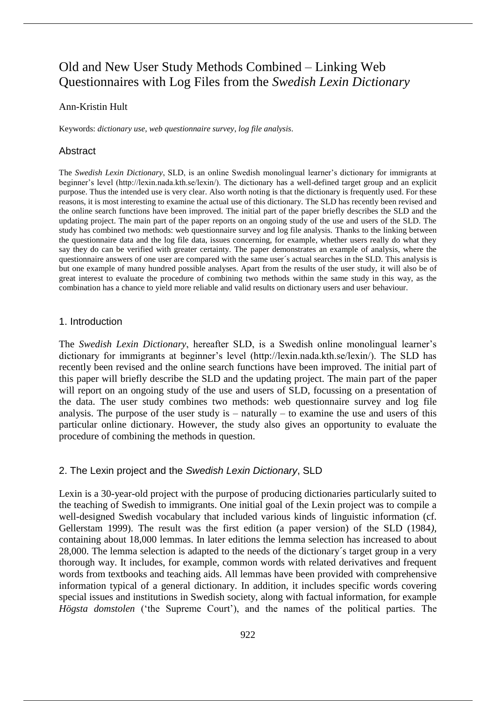# Old and New User Study Methods Combined ‒ Linking Web Questionnaires with Log Files from the *Swedish Lexin Dictionary*

## Ann-Kristin Hult

Keywords: *dictionary use*, *web questionnaire survey*, *log file analysis*.

## Abstract

The *Swedish Lexin Dictionary*, SLD, is an online Swedish monolingual learner's dictionary for immigrants at beginner's level (http://lexin.nada.kth.se/lexin/). The dictionary has a well-defined target group and an explicit purpose. Thus the intended use is very clear. Also worth noting is that the dictionary is frequently used. For these reasons, it is most interesting to examine the actual use of this dictionary. The SLD has recently been revised and the online search functions have been improved. The initial part of the paper briefly describes the SLD and the updating project. The main part of the paper reports on an ongoing study of the use and users of the SLD. The study has combined two methods: web questionnaire survey and log file analysis. Thanks to the linking between the questionnaire data and the log file data, issues concerning, for example, whether users really do what they say they do can be verified with greater certainty. The paper demonstrates an example of analysis, where the questionnaire answers of one user are compared with the same user´s actual searches in the SLD. This analysis is but one example of many hundred possible analyses. Apart from the results of the user study, it will also be of great interest to evaluate the procedure of combining two methods within the same study in this way, as the combination has a chance to yield more reliable and valid results on dictionary users and user behaviour.

### 1. Introduction

The *Swedish Lexin Dictionary*, hereafter SLD, is a Swedish online monolingual learner's dictionary for immigrants at beginner's level (http://lexin.nada.kth.se/lexin/). The SLD has recently been revised and the online search functions have been improved. The initial part of this paper will briefly describe the SLD and the updating project. The main part of the paper will report on an ongoing study of the use and users of SLD, focussing on a presentation of the data. The user study combines two methods: web questionnaire survey and log file analysis. The purpose of the user study is – naturally – to examine the use and users of this particular online dictionary. However, the study also gives an opportunity to evaluate the procedure of combining the methods in question.

# 2. The Lexin project and the *Swedish Lexin Dictionary*, SLD

Lexin is a 30-year-old project with the purpose of producing dictionaries particularly suited to the teaching of Swedish to immigrants. One initial goal of the Lexin project was to compile a well-designed Swedish vocabulary that included various kinds of linguistic information (cf. Gellerstam 1999). The result was the first edition (a paper version) of the SLD (1984*)*, containing about 18,000 lemmas. In later editions the lemma selection has increased to about 28,000. The lemma selection is adapted to the needs of the dictionary´s target group in a very thorough way. It includes, for example, common words with related derivatives and frequent words from textbooks and teaching aids. All lemmas have been provided with comprehensive information typical of a general dictionary. In addition, it includes specific words covering special issues and institutions in Swedish society, along with factual information, for example *Högsta domstolen* ('the Supreme Court'), and the names of the political parties. The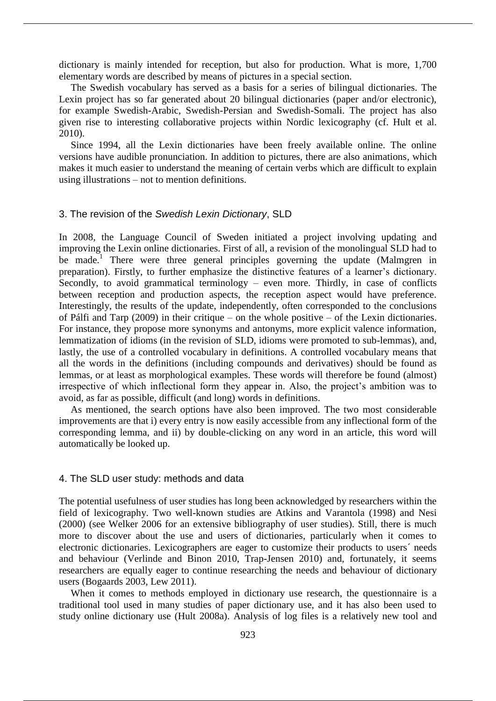dictionary is mainly intended for reception, but also for production. What is more, 1,700 elementary words are described by means of pictures in a special section.

The Swedish vocabulary has served as a basis for a series of bilingual dictionaries. The Lexin project has so far generated about 20 bilingual dictionaries (paper and/or electronic), for example Swedish-Arabic, Swedish-Persian and Swedish-Somali. The project has also given rise to interesting collaborative projects within Nordic lexicography (cf. Hult et al. 2010).

Since 1994, all the Lexin dictionaries have been freely available online. The online versions have audible pronunciation. In addition to pictures, there are also animations, which makes it much easier to understand the meaning of certain verbs which are difficult to explain using illustrations – not to mention definitions.

# 3. The revision of the *Swedish Lexin Dictionary*, SLD

In 2008, the Language Council of Sweden initiated a project involving updating and improving the Lexin online dictionaries. First of all, a revision of the monolingual SLD had to be made.<sup>1</sup> There were three general principles governing the update (Malmgren in preparation). Firstly, to further emphasize the distinctive features of a learner's dictionary. Secondly, to avoid grammatical terminology – even more. Thirdly, in case of conflicts between reception and production aspects, the reception aspect would have preference. Interestingly, the results of the update, independently, often corresponded to the conclusions of Pálfi and Tarp (2009) in their critique – on the whole positive – of the Lexin dictionaries. For instance, they propose more synonyms and antonyms, more explicit valence information, lemmatization of idioms (in the revision of SLD, idioms were promoted to sub-lemmas), and, lastly, the use of a controlled vocabulary in definitions. A controlled vocabulary means that all the words in the definitions (including compounds and derivatives) should be found as lemmas, or at least as morphological examples. These words will therefore be found (almost) irrespective of which inflectional form they appear in. Also, the project's ambition was to avoid, as far as possible, difficult (and long) words in definitions.

As mentioned, the search options have also been improved. The two most considerable improvements are that i) every entry is now easily accessible from any inflectional form of the corresponding lemma, and ii) by double-clicking on any word in an article, this word will automatically be looked up.

#### 4. The SLD user study: methods and data

The potential usefulness of user studies has long been acknowledged by researchers within the field of lexicography. Two well-known studies are Atkins and Varantola (1998) and Nesi (2000) (see Welker 2006 for an extensive bibliography of user studies). Still, there is much more to discover about the use and users of dictionaries, particularly when it comes to electronic dictionaries. Lexicographers are eager to customize their products to users´ needs and behaviour (Verlinde and Binon 2010, Trap-Jensen 2010) and, fortunately, it seems researchers are equally eager to continue researching the needs and behaviour of dictionary users (Bogaards 2003, Lew 2011).

When it comes to methods employed in dictionary use research, the questionnaire is a traditional tool used in many studies of paper dictionary use, and it has also been used to study online dictionary use (Hult 2008a). Analysis of log files is a relatively new tool and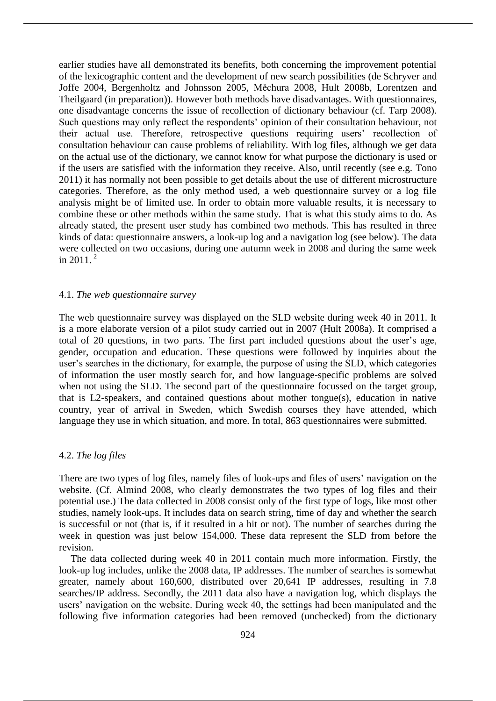earlier studies have all demonstrated its benefits, both concerning the improvement potential of the lexicographic content and the development of new search possibilities (de Schryver and Joffe 2004, Bergenholtz and Johnsson 2005, Měchura 2008, Hult 2008b, Lorentzen and Theilgaard (in preparation)). However both methods have disadvantages. With questionnaires, one disadvantage concerns the issue of recollection of dictionary behaviour (cf. Tarp 2008). Such questions may only reflect the respondents' opinion of their consultation behaviour, not their actual use. Therefore, retrospective questions requiring users' recollection of consultation behaviour can cause problems of reliability*.* With log files, although we get data on the actual use of the dictionary, we cannot know for what purpose the dictionary is used or if the users are satisfied with the information they receive. Also, until recently (see e.g. Tono 2011) it has normally not been possible to get details about the use of different microstructure categories. Therefore, as the only method used, a web questionnaire survey or a log file analysis might be of limited use. In order to obtain more valuable results, it is necessary to combine these or other methods within the same study. That is what this study aims to do. As already stated, the present user study has combined two methods. This has resulted in three kinds of data: questionnaire answers, a look-up log and a navigation log (see below). The data were collected on two occasions, during one autumn week in 2008 and during the same week in 2011. $^{2}$ 

#### 4.1. *The web questionnaire survey*

The web questionnaire survey was displayed on the SLD website during week 40 in 2011. It is a more elaborate version of a pilot study carried out in 2007 (Hult 2008a). It comprised a total of 20 questions, in two parts. The first part included questions about the user's age, gender, occupation and education. These questions were followed by inquiries about the user's searches in the dictionary, for example, the purpose of using the SLD, which categories of information the user mostly search for, and how language-specific problems are solved when not using the SLD. The second part of the questionnaire focussed on the target group, that is L2-speakers, and contained questions about mother tongue(s), education in native country, year of arrival in Sweden, which Swedish courses they have attended, which language they use in which situation, and more. In total, 863 questionnaires were submitted.

# 4.2. *The log files*

There are two types of log files, namely files of look-ups and files of users' navigation on the website. (Cf. Almind 2008, who clearly demonstrates the two types of log files and their potential use.) The data collected in 2008 consist only of the first type of logs, like most other studies, namely look-ups. It includes data on search string, time of day and whether the search is successful or not (that is, if it resulted in a hit or not). The number of searches during the week in question was just below 154,000. These data represent the SLD from before the revision.

The data collected during week 40 in 2011 contain much more information. Firstly, the look-up log includes, unlike the 2008 data, IP addresses. The number of searches is somewhat greater, namely about 160,600, distributed over 20,641 IP addresses, resulting in 7.8 searches/IP address. Secondly, the 2011 data also have a navigation log, which displays the users' navigation on the website. During week 40, the settings had been manipulated and the following five information categories had been removed (unchecked) from the dictionary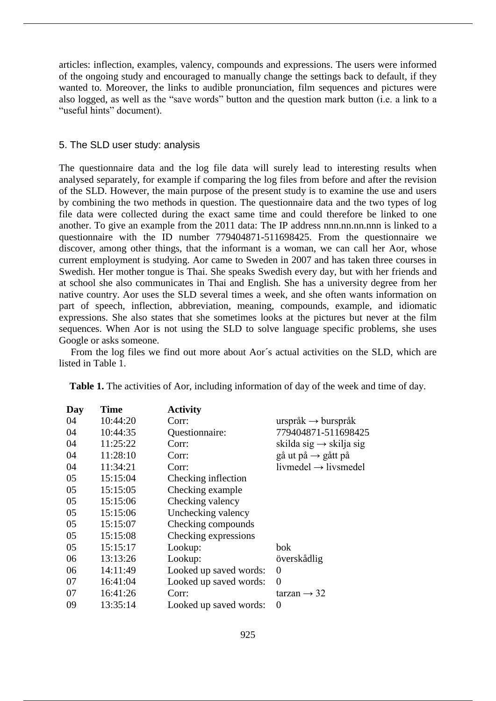articles: inflection, examples, valency, compounds and expressions. The users were informed of the ongoing study and encouraged to manually change the settings back to default, if they wanted to. Moreover, the links to audible pronunciation, film sequences and pictures were also logged, as well as the "save words" button and the question mark button (i.e. a link to a "useful hints" document).

## 5. The SLD user study: analysis

The questionnaire data and the log file data will surely lead to interesting results when analysed separately, for example if comparing the log files from before and after the revision of the SLD. However, the main purpose of the present study is to examine the use and users by combining the two methods in question. The questionnaire data and the two types of log file data were collected during the exact same time and could therefore be linked to one another. To give an example from the 2011 data: The IP address nnn.nn.nn.nnn is linked to a questionnaire with the ID number 779404871-511698425. From the questionnaire we discover, among other things, that the informant is a woman, we can call her Aor, whose current employment is studying. Aor came to Sweden in 2007 and has taken three courses in Swedish. Her mother tongue is Thai. She speaks Swedish every day, but with her friends and at school she also communicates in Thai and English. She has a university degree from her native country. Aor uses the SLD several times a week, and she often wants information on part of speech, inflection, abbreviation, meaning, compounds, example, and idiomatic expressions. She also states that she sometimes looks at the pictures but never at the film sequences. When Aor is not using the SLD to solve language specific problems, she uses Google or asks someone.

From the log files we find out more about Aor´s actual activities on the SLD, which are listed in Table 1.

|    | <b>Time</b><br>Day | <b>Activity</b>        |                                     |
|----|--------------------|------------------------|-------------------------------------|
| 04 | 10:44:20           | Corr:                  | urspråk $\rightarrow$ burspråk      |
| 04 | 10:44:35           | Questionnaire:         | 779404871-511698425                 |
| 04 | 11:25:22           | Corr:                  | skilda sig $\rightarrow$ skilja sig |
| 04 | 11:28:10           | Corr:                  | gå ut på $\rightarrow$ gått på      |
| 04 | 11:34:21           | Corr:                  | $livmedel \rightarrow livsmedel$    |
| 05 | 15:15:04           | Checking inflection    |                                     |
| 05 | 15:15:05           | Checking example       |                                     |
| 05 | 15:15:06           | Checking valency       |                                     |
| 05 | 15:15:06           | Unchecking valency     |                                     |
| 05 | 15:15:07           | Checking compounds     |                                     |
| 05 | 15:15:08           | Checking expressions   |                                     |
| 05 | 15:15:17           | Lookup:                | bok                                 |
| 06 | 13:13:26           | Lookup:                | överskådlig                         |
| 06 | 14:11:49           | Looked up saved words: | 0                                   |
| 07 | 16:41:04           | Looked up saved words: | 0                                   |
| 07 | 16:41:26           | Corr:                  | tarzan $\rightarrow$ 32             |
| 09 | 13:35:14           | Looked up saved words: | 0                                   |

**Table 1.** The activities of Aor, including information of day of the week and time of day.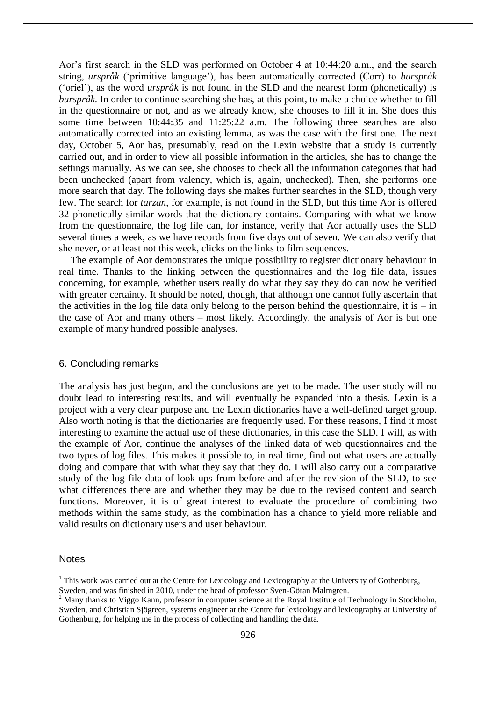Aor's first search in the SLD was performed on October 4 at 10:44:20 a.m., and the search string, *urspråk* ('primitive language'), has been automatically corrected (Corr) to *burspråk* ('oriel'), as the word *urspråk* is not found in the SLD and the nearest form (phonetically) is *burspråk.* In order to continue searching she has, at this point, to make a choice whether to fill in the questionnaire or not, and as we already know, she chooses to fill it in. She does this some time between 10:44:35 and 11:25:22 a.m. The following three searches are also automatically corrected into an existing lemma, as was the case with the first one. The next day, October 5, Aor has, presumably, read on the Lexin website that a study is currently carried out, and in order to view all possible information in the articles, she has to change the settings manually. As we can see, she chooses to check all the information categories that had been unchecked (apart from valency, which is, again, unchecked). Then, she performs one more search that day. The following days she makes further searches in the SLD, though very few. The search for *tarzan*, for example, is not found in the SLD, but this time Aor is offered 32 phonetically similar words that the dictionary contains. Comparing with what we know from the questionnaire, the log file can, for instance, verify that Aor actually uses the SLD several times a week, as we have records from five days out of seven. We can also verify that she never, or at least not this week, clicks on the links to film sequences.

The example of Aor demonstrates the unique possibility to register dictionary behaviour in real time. Thanks to the linking between the questionnaires and the log file data, issues concerning, for example, whether users really do what they say they do can now be verified with greater certainty. It should be noted, though, that although one cannot fully ascertain that the activities in the log file data only belong to the person behind the questionnaire, it is  $-\text{in}$ the case of Aor and many others – most likely. Accordingly, the analysis of Aor is but one example of many hundred possible analyses.

## 6. Concluding remarks

The analysis has just begun, and the conclusions are yet to be made. The user study will no doubt lead to interesting results, and will eventually be expanded into a thesis. Lexin is a project with a very clear purpose and the Lexin dictionaries have a well-defined target group. Also worth noting is that the dictionaries are frequently used. For these reasons, I find it most interesting to examine the actual use of these dictionaries, in this case the SLD. I will, as with the example of Aor, continue the analyses of the linked data of web questionnaires and the two types of log files. This makes it possible to, in real time, find out what users are actually doing and compare that with what they say that they do. I will also carry out a comparative study of the log file data of look-ups from before and after the revision of the SLD, to see what differences there are and whether they may be due to the revised content and search functions. Moreover, it is of great interest to evaluate the procedure of combining two methods within the same study, as the combination has a chance to yield more reliable and valid results on dictionary users and user behaviour.

#### **Notes**

<sup>&</sup>lt;sup>1</sup> This work was carried out at the Centre for Lexicology and Lexicography at the University of Gothenburg,

Sweden, and was finished in 2010, under the head of professor Sven-Göran Malmgren.

<sup>&</sup>lt;sup>2</sup> Many thanks to Viggo Kann, professor in computer science at the Royal Institute of Technology in Stockholm, Sweden, and Christian Sjögreen, systems engineer at the Centre for lexicology and lexicography at University of Gothenburg, for helping me in the process of collecting and handling the data.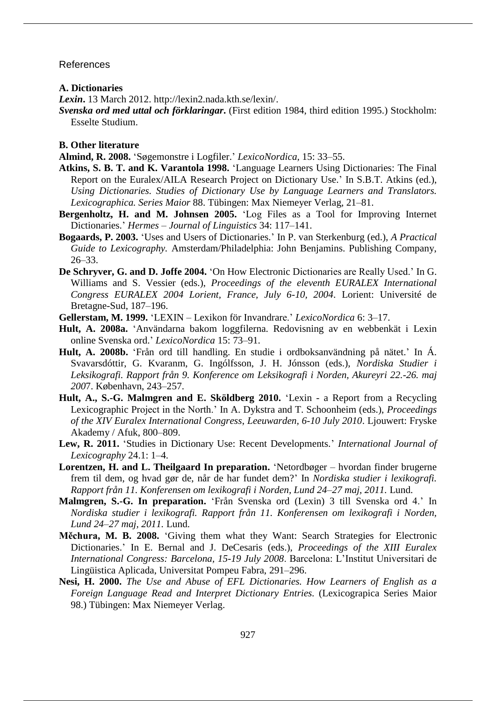#### References

**A. Dictionaries**

*Lexin***.** 13 March 2012. http://lexin2.nada.kth.se/lexin/.

*Svenska ord med uttal och förklaringar***.** (First edition 1984, third edition 1995.) Stockholm: Esselte Studium.

## **B. Other literature**

- **Almind, R. 2008.** 'Søgemonstre i Logfiler.' *LexicoNordica,* 15: 33–55.
- **Atkins, S. B. T. and K. Varantola 1998.** 'Language Learners Using Dictionaries: The Final Report on the Euralex/AILA Research Project on Dictionary Use.' In S.B.T. Atkins (ed.), *Using Dictionaries. Studies of Dictionary Use by Language Learners and Translators. Lexicographica. Series Maior* 88. Tübingen: Max Niemeyer Verlag, 21–81.
- **Bergenholtz, H. and M. Johnsen 2005.** 'Log Files as a Tool for Improving Internet Dictionaries.' *Hermes – Journal of Linguistics* 34: 117–141.
- **Bogaards, P. 2003.** 'Uses and Users of Dictionaries.' In P. van Sterkenburg (ed.), *A Practical Guide to Lexicography.* Amsterdam/Philadelphia: John Benjamins. Publishing Company, 26–33.
- **De Schryver, G. and D. Joffe 2004.** 'On How Electronic Dictionaries are Really Used.' In G. Williams and S. Vessier (eds.), *Proceedings of the eleventh EURALEX International Congress EURALEX 2004 Lorient, France, July 6-10, 2004*. Lorient: Université de Bretagne-Sud, 187–196.
- **Gellerstam, M. 1999.** 'LEXIN Lexikon för Invandrare.' *LexicoNordica* 6: 3–17.
- **Hult, A. 2008a.** 'Användarna bakom loggfilerna. Redovisning av en webbenkät i Lexin online Svenska ord.' *LexicoNordica* 15: 73–91.
- **Hult, A. 2008b.** 'Från ord till handling. En studie i ordboksanvändning på nätet.' In Á. Svavarsdóttir, G. Kvaranm, G. Ingólfsson, J. H. Jónsson (eds.), *Nordiska Studier i Leksikografi. Rapport från 9. Konference om Leksikografi i Norden, Akureyri 22.-26. maj 200*7. København, 243–257.
- **Hult, A., S.-G. Malmgren and E. Sköldberg 2010.** 'Lexin a Report from a Recycling Lexicographic Project in the North.' In A. Dykstra and T. Schoonheim (eds.), *Proceedings of the XIV Euralex International Congress*, *Leeuwarden, 6-10 July 2010*. Ljouwert: Fryske Akademy / Afuk, 800‒809.
- **Lew, R. 2011.** 'Studies in Dictionary Use: Recent Developments.' *International Journal of Lexicography* 24.1: 1–4.
- **Lorentzen, H. and L. Theilgaard In preparation.** 'Netordbøger hvordan finder brugerne frem til dem, og hvad gør de, når de har fundet dem?' In *Nordiska studier i lexikografi. Rapport från 11. Konferensen om lexikografi i Norden, Lund 24–27 maj, 2011.* Lund.
- **Malmgren, S.-G. In preparation.** 'Från Svenska ord (Lexin) 3 till Svenska ord 4.' In *Nordiska studier i lexikografi. Rapport från 11. Konferensen om lexikografi i Norden, Lund 24–27 maj, 2011.* Lund.
- **Měchura, M. B. 2008.** 'Giving them what they Want: Search Strategies for Electronic Dictionaries.' In E. Bernal and J. DeCesaris (eds.), *Proceedings of the XIII Euralex International Congress: Barcelona, 15-19 July 2008*. Barcelona: L'Institut Universitari de Lingüistica Aplicada, Universitat Pompeu Fabra, 291–296.
- **Nesi, H. 2000.** *The Use and Abuse of EFL Dictionaries. How Learners of English as a Foreign Language Read and Interpret Dictionary Entries.* (Lexicograpica Series Maior 98.) Tübingen: Max Niemeyer Verlag.